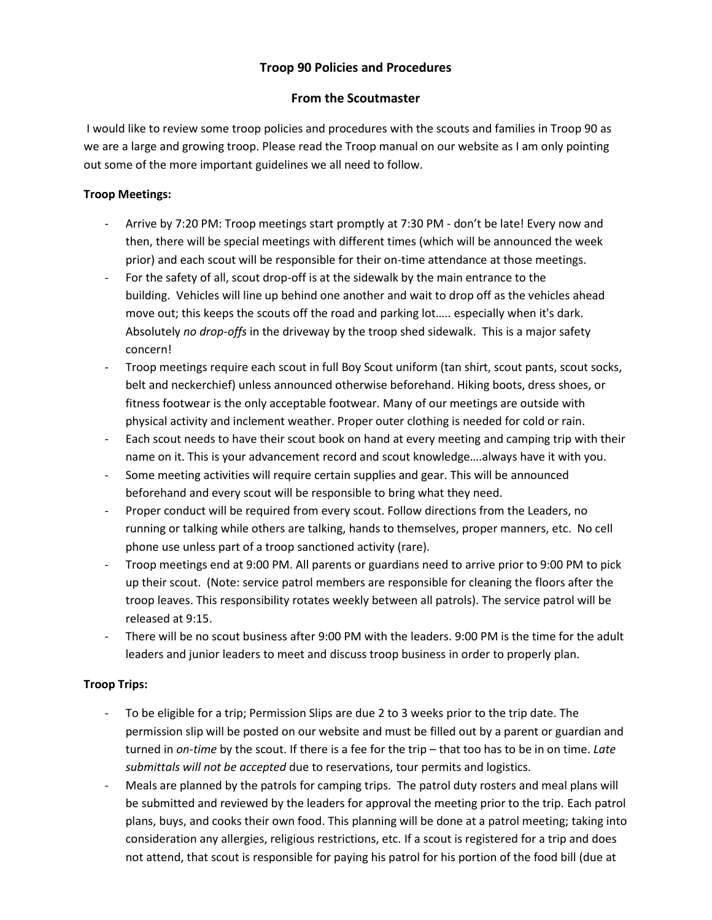# **Troop 90 Policies and Procedures**

## **From the Scoutmaster**

I would like to review some troop policies and procedures with the scouts and families in Troop 90 as we are a large and growing troop. Please read the Troop manual on our website as I am only pointing out some of the more important guidelines we all need to follow.

### **Troop Meetings:**

- Arrive by 7:20 PM: Troop meetings start promptly at 7:30 PM don't be late! Every now and then, there will be special meetings with different times (which will be announced the week prior) and each scout will be responsible for their on-time attendance at those meetings.
- For the safety of all, scout drop-off is at the sidewalk by the main entrance to the building. Vehicles will line up behind one another and wait to drop off as the vehicles ahead move out; this keeps the scouts off the road and parking lot….. especially when it's dark. Absolutely *no drop-offs* in the driveway by the troop shed sidewalk. This is a major safety concern!
- Troop meetings require each scout in full Boy Scout uniform (tan shirt, scout pants, scout socks, belt and neckerchief) unless announced otherwise beforehand. Hiking boots, dress shoes, or fitness footwear is the only acceptable footwear. Many of our meetings are outside with physical activity and inclement weather. Proper outer clothing is needed for cold or rain.
- Each scout needs to have their scout book on hand at every meeting and camping trip with their name on it. This is your advancement record and scout knowledge….always have it with you.
- Some meeting activities will require certain supplies and gear. This will be announced beforehand and every scout will be responsible to bring what they need.
- Proper conduct will be required from every scout. Follow directions from the Leaders, no running or talking while others are talking, hands to themselves, proper manners, etc. No cell phone use unless part of a troop sanctioned activity (rare).
- Troop meetings end at 9:00 PM. All parents or guardians need to arrive prior to 9:00 PM to pick up their scout. (Note: service patrol members are responsible for cleaning the floors after the troop leaves. This responsibility rotates weekly between all patrols). The service patrol will be released at 9:15.
- There will be no scout business after 9:00 PM with the leaders. 9:00 PM is the time for the adult leaders and junior leaders to meet and discuss troop business in order to properly plan.

## **Troop Trips:**

- To be eligible for a trip; Permission Slips are due 2 to 3 weeks prior to the trip date. The permission slip will be posted on our website and must be filled out by a parent or guardian and turned in *on-time* by the scout. If there is a fee for the trip – that too has to be in on time. *Late submittals will not be accepted* due to reservations, tour permits and logistics.
- Meals are planned by the patrols for camping trips. The patrol duty rosters and meal plans will be submitted and reviewed by the leaders for approval the meeting prior to the trip. Each patrol plans, buys, and cooks their own food. This planning will be done at a patrol meeting; taking into consideration any allergies, religious restrictions, etc. If a scout is registered for a trip and does not attend, that scout is responsible for paying his patrol for his portion of the food bill (due at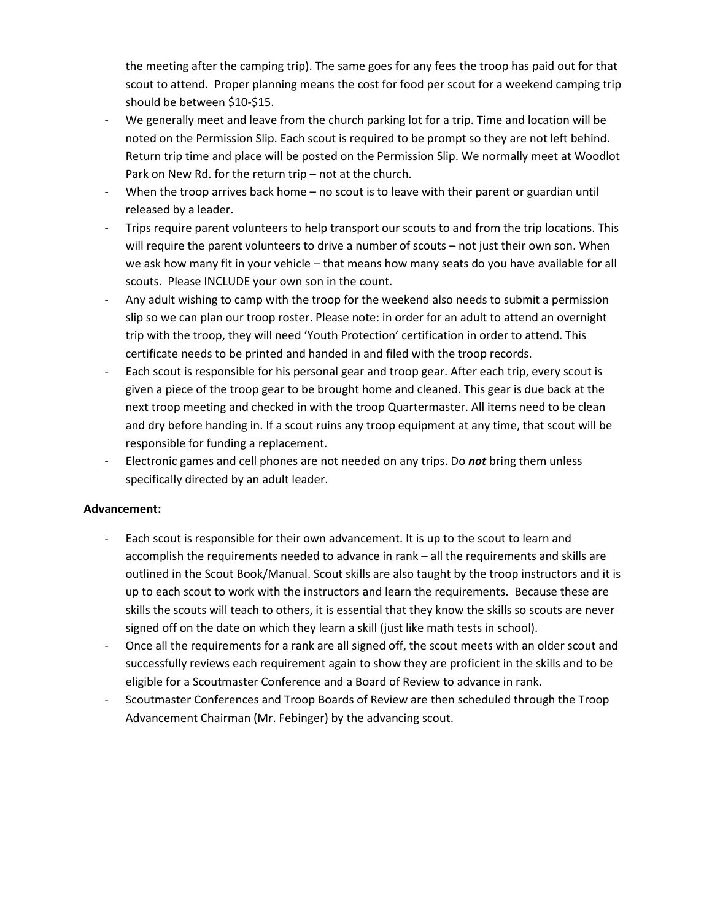the meeting after the camping trip). The same goes for any fees the troop has paid out for that scout to attend. Proper planning means the cost for food per scout for a weekend camping trip should be between \$10-\$15.

- We generally meet and leave from the church parking lot for a trip. Time and location will be noted on the Permission Slip. Each scout is required to be prompt so they are not left behind. Return trip time and place will be posted on the Permission Slip. We normally meet at Woodlot Park on New Rd. for the return trip – not at the church.
- When the troop arrives back home no scout is to leave with their parent or guardian until released by a leader.
- Trips require parent volunteers to help transport our scouts to and from the trip locations. This will require the parent volunteers to drive a number of scouts – not just their own son. When we ask how many fit in your vehicle – that means how many seats do you have available for all scouts. Please INCLUDE your own son in the count.
- Any adult wishing to camp with the troop for the weekend also needs to submit a permission slip so we can plan our troop roster. Please note: in order for an adult to attend an overnight trip with the troop, they will need 'Youth Protection' certification in order to attend. This certificate needs to be printed and handed in and filed with the troop records.
- Each scout is responsible for his personal gear and troop gear. After each trip, every scout is given a piece of the troop gear to be brought home and cleaned. This gear is due back at the next troop meeting and checked in with the troop Quartermaster. All items need to be clean and dry before handing in. If a scout ruins any troop equipment at any time, that scout will be responsible for funding a replacement.
- Electronic games and cell phones are not needed on any trips. Do *not* bring them unless specifically directed by an adult leader.

#### **Advancement:**

- Each scout is responsible for their own advancement. It is up to the scout to learn and accomplish the requirements needed to advance in rank – all the requirements and skills are outlined in the Scout Book/Manual. Scout skills are also taught by the troop instructors and it is up to each scout to work with the instructors and learn the requirements. Because these are skills the scouts will teach to others, it is essential that they know the skills so scouts are never signed off on the date on which they learn a skill (just like math tests in school).
- Once all the requirements for a rank are all signed off, the scout meets with an older scout and successfully reviews each requirement again to show they are proficient in the skills and to be eligible for a Scoutmaster Conference and a Board of Review to advance in rank.
- Scoutmaster Conferences and Troop Boards of Review are then scheduled through the Troop Advancement Chairman (Mr. Febinger) by the advancing scout.